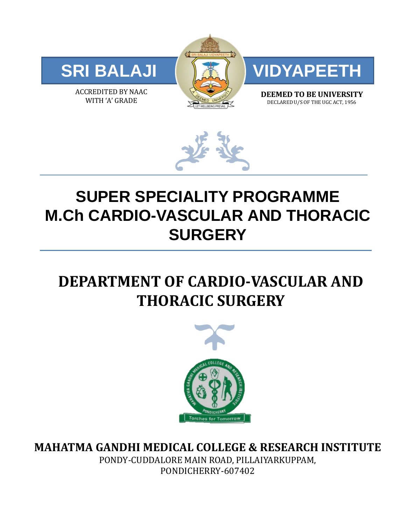

ACCREDITED BY NAAC WITH 'A' GRADE





**DEEMED TO BE UNIVERSITY** DECLARED U/S OF THE UGC ACT, 1956



# **SUPER SPECIALITY PROGRAMME M.Ch CARDIO-VASCULAR AND THORACIC SURGERY**

## **DEPARTMENT OF CARDIO-VASCULAR AND THORACIC SURGERY**



**MAHATMA GANDHI MEDICAL COLLEGE & RESEARCH INSTITUTE**

PONDY-CUDDALORE MAIN ROAD, PILLAIYARKUPPAM, PONDICHERRY-607402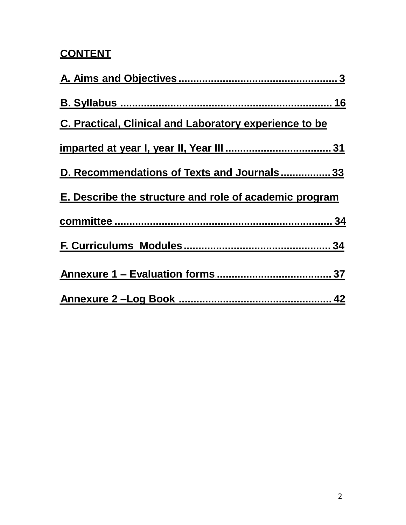## **CONTENT**

| C. Practical, Clinical and Laboratory experience to be |
|--------------------------------------------------------|
|                                                        |
| D. Recommendations of Texts and Journals33             |
| E. Describe the structure and role of academic program |
|                                                        |
|                                                        |
|                                                        |
|                                                        |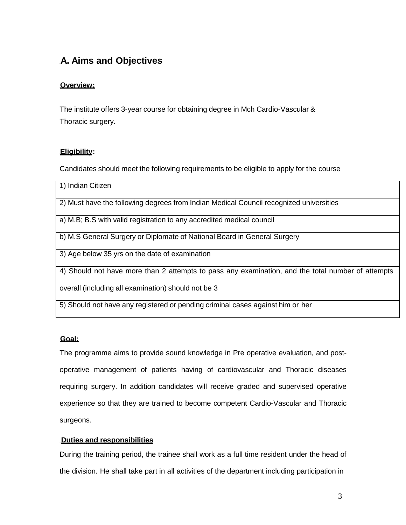### 0B **A. Aims and Objectives**

#### **Overview:**

The institute offers 3-year course for obtaining degree in Mch Cardio-Vascular & Thoracic surgery**.**

#### <sup>U</sup>**Eligibility**U**:**

Candidates should meet the following requirements to be eligible to apply for the course

| 1) Indian Citizen                                                                                 |
|---------------------------------------------------------------------------------------------------|
| 2) Must have the following degrees from Indian Medical Council recognized universities            |
| a) M.B; B.S with valid registration to any accredited medical council                             |
| b) M.S General Surgery or Diplomate of National Board in General Surgery                          |
| 3) Age below 35 yrs on the date of examination                                                    |
| 4) Should not have more than 2 attempts to pass any examination, and the total number of attempts |
| overall (including all examination) should not be 3                                               |
| 5) Should not have any registered or pending criminal cases against him or her                    |

### <sup>U</sup>**Goal:**

The programme aims to provide sound knowledge in Pre operative evaluation, and postoperative management of patients having of cardiovascular and Thoracic diseases requiring surgery. In addition candidates will receive graded and supervised operative experience so that they are trained to become competent Cardio-Vascular and Thoracic surgeons.

#### 28BU**Duties and responsibilities**

<span id="page-2-0"></span>During the training period, the trainee shall work as a full time resident under the head of the division. He shall take part in all activities of the department including participation in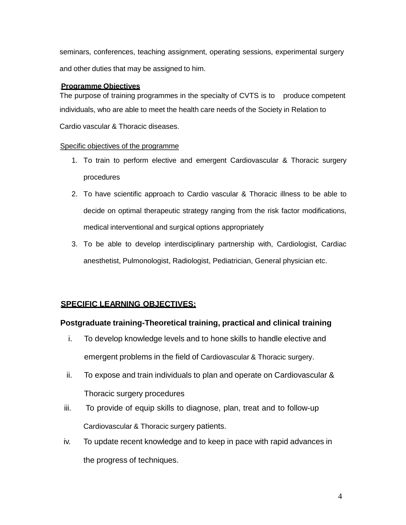seminars, conferences, teaching assignment, operating sessions, experimental surgery and other duties that may be assigned to him.

#### **Programme Objectives**

The purpose of training programmes in the specialty of CVTS is to produce competent individuals, who are able to meet the health care needs of the Society in Relation to Cardio vascular & Thoracic diseases.

#### Specific objectives of the programme

- 1. To train to perform elective and emergent Cardiovascular & Thoracic surgery procedures
- 2. To have scientific approach to Cardio vascular & Thoracic illness to be able to decide on optimal therapeutic strategy ranging from the risk factor modifications, medical interventional and surgical options appropriately
- 3. To be able to develop interdisciplinary partnership with, Cardiologist, Cardiac anesthetist, Pulmonologist, Radiologist, Pediatrician, General physician etc.

### <sup>U</sup>**SPECIFIC LEARNING OBJECTIVES:**

### **Postgraduate training-Theoretical training, practical and clinical training**

- i. To develop knowledge levels and to hone skills to handle elective and emergent problems in the field of Cardiovascular & Thoracic surgery.
- ii. To expose and train individuals to plan and operate on Cardiovascular & Thoracic surgery procedures
- iii. To provide of equip skills to diagnose, plan, treat and to follow-up Cardiovascular & Thoracic surgery patients.
- iv. To update recent knowledge and to keep in pace with rapid advances in the progress of techniques.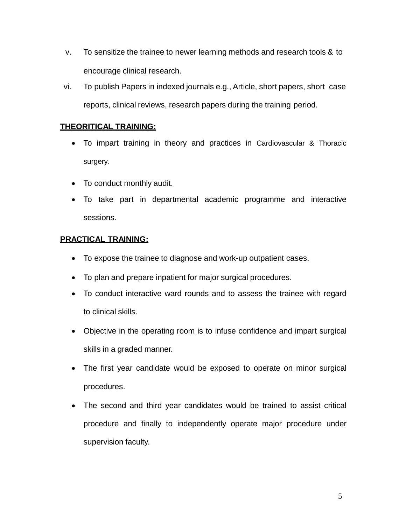- v. To sensitize the trainee to newer learning methods and research tools & to encourage clinical research.
- vi. To publish Papers in indexed journals e.g., Article, short papers, short case reports, clinical reviews, research papers during the training period.

### <sup>U</sup>**THEORITICAL TRAINING:**

- To impart training in theory and practices in Cardiovascular & Thoracic surgery.
- To conduct monthly audit.
- To take part in departmental academic programme and interactive sessions.

### <sup>U</sup>**PRACTICAL TRAINING:**

- To expose the trainee to diagnose and work-up outpatient cases.
- To plan and prepare inpatient for major surgical procedures.
- To conduct interactive ward rounds and to assess the trainee with regard to clinical skills.
- Objective in the operating room is to infuse confidence and impart surgical skills in a graded manner.
- The first year candidate would be exposed to operate on minor surgical procedures.
- The second and third year candidates would be trained to assist critical procedure and finally to independently operate major procedure under supervision faculty.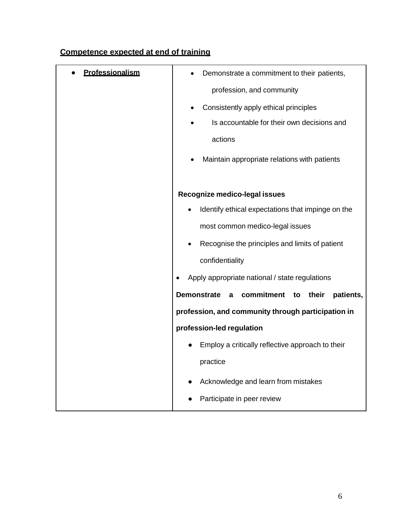### <sup>U</sup>**Competence expected at end of training**

| Professionalism | Demonstrate a commitment to their patients,                       |
|-----------------|-------------------------------------------------------------------|
|                 | profession, and community                                         |
|                 |                                                                   |
|                 | Consistently apply ethical principles                             |
|                 | Is accountable for their own decisions and                        |
|                 | actions                                                           |
|                 | Maintain appropriate relations with patients                      |
|                 | Recognize medico-legal issues                                     |
|                 |                                                                   |
|                 | Identify ethical expectations that impinge on the                 |
|                 | most common medico-legal issues                                   |
|                 | Recognise the principles and limits of patient<br>$\bullet$       |
|                 | confidentiality                                                   |
|                 | Apply appropriate national / state regulations<br>$\bullet$       |
|                 | <b>Demonstrate</b><br>commitment<br>their<br>patients,<br>a<br>to |
|                 | profession, and community through participation in                |
|                 | profession-led regulation                                         |
|                 | Employ a critically reflective approach to their                  |
|                 | practice                                                          |
|                 | Acknowledge and learn from mistakes                               |
|                 | Participate in peer review                                        |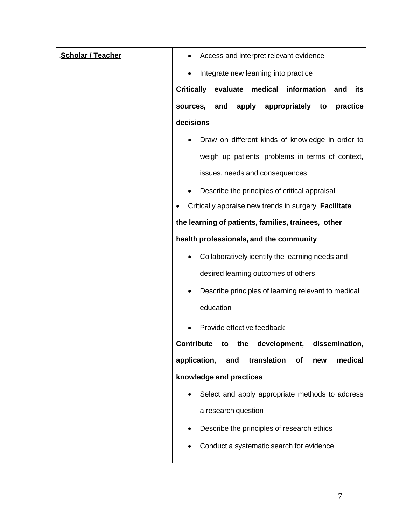| <b>Scholar / Teacher</b> | Access and interpret relevant evidence                             |
|--------------------------|--------------------------------------------------------------------|
|                          | Integrate new learning into practice                               |
|                          | <b>Critically</b><br>evaluate<br>medical information<br>and<br>its |
|                          | apply<br>appropriately<br>sources, and<br>practice<br>to           |
|                          | decisions                                                          |
|                          | Draw on different kinds of knowledge in order to                   |
|                          | weigh up patients' problems in terms of context,                   |
|                          | issues, needs and consequences                                     |
|                          | Describe the principles of critical appraisal                      |
|                          | Critically appraise new trends in surgery Facilitate               |
|                          | the learning of patients, families, trainees, other                |
|                          | health professionals, and the community                            |
|                          | Collaboratively identify the learning needs and                    |
|                          | desired learning outcomes of others                                |
|                          | Describe principles of learning relevant to medical                |
|                          | education                                                          |
|                          | Provide effective feedback                                         |
|                          | Contribute to the development,<br>dissemination                    |
|                          | application,<br>translation<br>and<br>medical<br><b>of</b><br>new  |
|                          | knowledge and practices                                            |
|                          | Select and apply appropriate methods to address                    |
|                          | a research question                                                |
|                          | Describe the principles of research ethics                         |
|                          | Conduct a systematic search for evidence                           |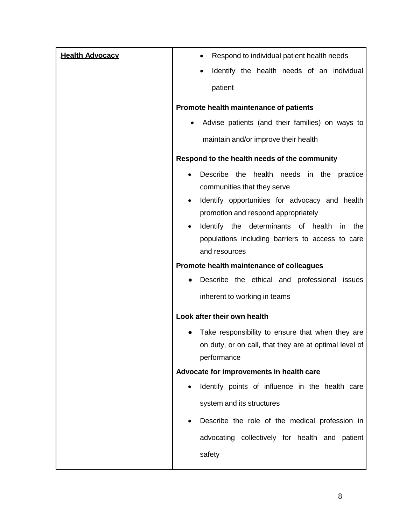| <b>Health Advocacy</b> | Respond to individual patient health needs             |
|------------------------|--------------------------------------------------------|
|                        | Identify the health needs of an individual             |
|                        | patient                                                |
|                        |                                                        |
|                        | Promote health maintenance of patients                 |
|                        | Advise patients (and their families) on ways to        |
|                        | maintain and/or improve their health                   |
|                        | Respond to the health needs of the community           |
|                        | Describe the health needs in the practice              |
|                        | communities that they serve                            |
|                        | Identify opportunities for advocacy and health<br>٠    |
|                        | promotion and respond appropriately                    |
|                        | Identify the determinants of health<br>the<br>in<br>٠  |
|                        | populations including barriers to access to care       |
|                        | and resources                                          |
|                        | Promote health maintenance of colleagues               |
|                        | Describe the ethical and professional<br>issues        |
|                        | inherent to working in teams                           |
|                        | Look after their own health                            |
|                        | Take responsibility to ensure that when they are       |
|                        | on duty, or on call, that they are at optimal level of |
|                        | performance                                            |
|                        | Advocate for improvements in health care               |
|                        | Identify points of influence in the health care        |
|                        | system and its structures                              |
|                        | Describe the role of the medical profession in<br>٠    |
|                        | advocating collectively for health and patient         |
|                        |                                                        |
|                        | safety                                                 |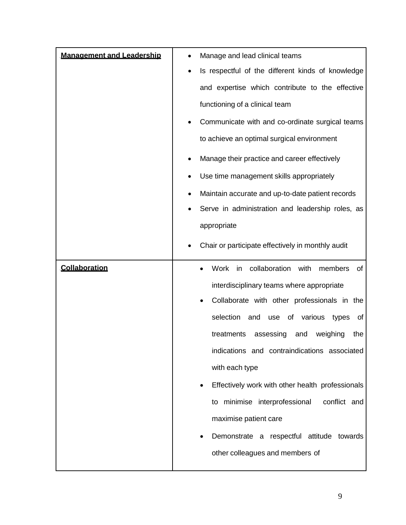| <b>Management and Leadership</b> | Manage and lead clinical teams                              |
|----------------------------------|-------------------------------------------------------------|
|                                  | Is respectful of the different kinds of knowledge           |
|                                  | and expertise which contribute to the effective             |
|                                  | functioning of a clinical team                              |
|                                  | Communicate with and co-ordinate surgical teams             |
|                                  | to achieve an optimal surgical environment                  |
|                                  | Manage their practice and career effectively                |
|                                  | Use time management skills appropriately                    |
|                                  | Maintain accurate and up-to-date patient records            |
|                                  | Serve in administration and leadership roles, as            |
|                                  | appropriate                                                 |
|                                  | Chair or participate effectively in monthly audit           |
|                                  |                                                             |
| Collaboration                    | collaboration<br><b>Work</b><br>with<br>of<br>in<br>members |
|                                  | interdisciplinary teams where appropriate                   |
|                                  | Collaborate with other professionals in the<br>٠            |
|                                  | selection<br>use of<br>various<br>and<br>of<br>types        |
|                                  | treatments<br>weighing<br>assessing<br>the<br>and           |
|                                  | indications and contraindications associated                |
|                                  | with each type                                              |
|                                  | Effectively work with other health professionals            |
|                                  | to minimise interprofessional<br>conflict and               |
|                                  | maximise patient care                                       |
|                                  | Demonstrate a respectful attitude towards                   |
|                                  |                                                             |
|                                  | other colleagues and members of                             |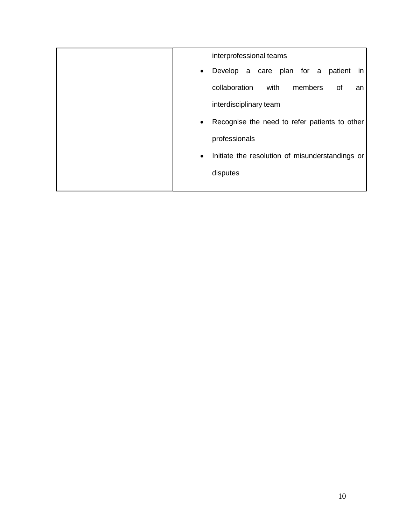| interprofessional teams                                      |
|--------------------------------------------------------------|
| Develop a care plan for a patient<br><i>in</i><br>$\bullet$  |
| collaboration<br>with<br>members<br>of<br>an                 |
| interdisciplinary team                                       |
| Recognise the need to refer patients to other<br>$\bullet$   |
| professionals                                                |
| Initiate the resolution of misunderstandings or<br>$\bullet$ |
| disputes                                                     |
|                                                              |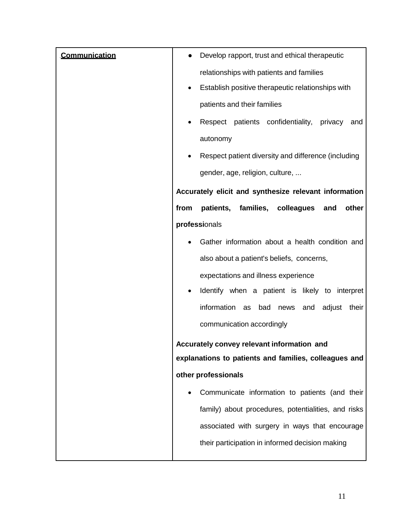| Communication | Develop rapport, trust and ethical therapeutic               |
|---------------|--------------------------------------------------------------|
|               | relationships with patients and families                     |
|               | Establish positive therapeutic relationships with            |
|               | patients and their families                                  |
|               | Respect patients confidentiality,<br>privacy<br>and          |
|               | autonomy                                                     |
|               | Respect patient diversity and difference (including          |
|               | gender, age, religion, culture,                              |
|               | Accurately elicit and synthesize relevant information        |
|               | families,<br>colleagues<br>other<br>from<br>patients,<br>and |
|               | professionals                                                |
|               | Gather information about a health condition and              |
|               | also about a patient's beliefs, concerns,                    |
|               | expectations and illness experience                          |
|               | Identify when a patient is likely to interpret               |
|               | information<br>bad<br>adjust<br>their<br>as<br>news<br>and   |
|               | communication accordingly                                    |
|               | Accurately convey relevant information and                   |
|               | explanations to patients and families, colleagues and        |
|               | other professionals                                          |
|               | Communicate information to patients (and their               |
|               | family) about procedures, potentialities, and risks          |
|               | associated with surgery in ways that encourage               |
|               | their participation in informed decision making              |
|               |                                                              |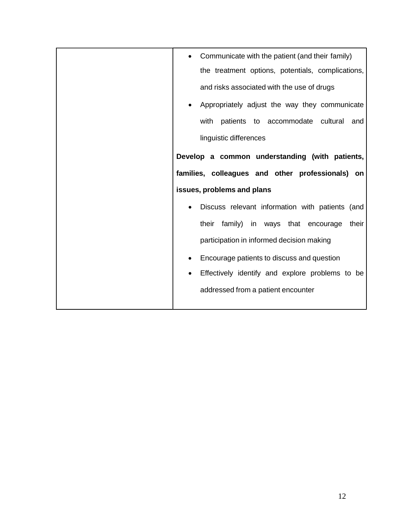| Communicate with the patient (and their family)   |
|---------------------------------------------------|
| the treatment options, potentials, complications, |
| and risks associated with the use of drugs        |
| Appropriately adjust the way they communicate     |
| patients to accommodate cultural<br>with<br>and   |
| linguistic differences                            |
| Develop a common understanding (with patients,    |
| families, colleagues and other professionals) on  |
| issues, problems and plans                        |
| Discuss relevant information with patients (and   |
| their family) in ways that encourage<br>their     |
| participation in informed decision making         |
| Encourage patients to discuss and question        |
| Effectively identify and explore problems to be   |
| addressed from a patient encounter                |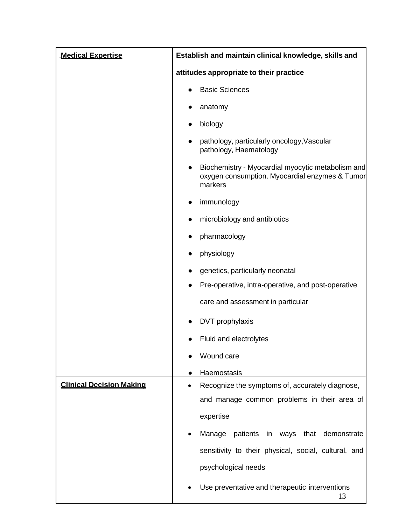| <b>Medical Expertise</b>        | Establish and maintain clinical knowledge, skills and                                                                       |
|---------------------------------|-----------------------------------------------------------------------------------------------------------------------------|
|                                 | attitudes appropriate to their practice                                                                                     |
|                                 | <b>Basic Sciences</b>                                                                                                       |
|                                 | anatomy                                                                                                                     |
|                                 | biology                                                                                                                     |
|                                 | pathology, particularly oncology, Vascular<br>pathology, Haematology                                                        |
|                                 | Biochemistry - Myocardial myocytic metabolism and<br>$\bullet$<br>oxygen consumption. Myocardial enzymes & Tumor<br>markers |
|                                 | immunology                                                                                                                  |
|                                 | microbiology and antibiotics<br>$\bullet$                                                                                   |
|                                 | pharmacology                                                                                                                |
|                                 | physiology                                                                                                                  |
|                                 | genetics, particularly neonatal                                                                                             |
|                                 | Pre-operative, intra-operative, and post-operative                                                                          |
|                                 | care and assessment in particular                                                                                           |
|                                 | DVT prophylaxis                                                                                                             |
|                                 | Fluid and electrolytes                                                                                                      |
|                                 | Wound care                                                                                                                  |
|                                 | Haemostasis                                                                                                                 |
| <b>Clinical Decision Making</b> | Recognize the symptoms of, accurately diagnose,                                                                             |
|                                 | and manage common problems in their area of                                                                                 |
|                                 | expertise                                                                                                                   |
|                                 | patients in ways<br>Manage<br>that demonstrate                                                                              |
|                                 | sensitivity to their physical, social, cultural, and                                                                        |
|                                 | psychological needs                                                                                                         |
|                                 | Use preventative and therapeutic interventions<br>13                                                                        |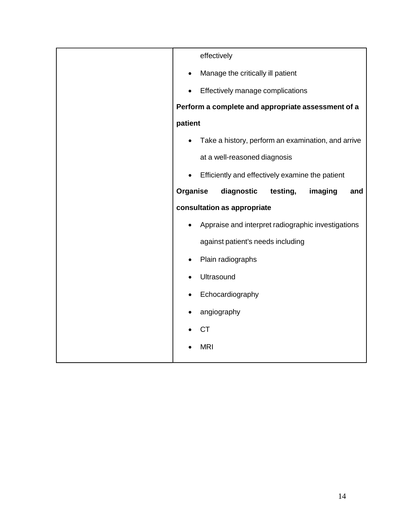| effectively                                          |
|------------------------------------------------------|
| Manage the critically ill patient                    |
| Effectively manage complications                     |
| Perform a complete and appropriate assessment of a   |
| patient                                              |
| Take a history, perform an examination, and arrive   |
| at a well-reasoned diagnosis                         |
| Efficiently and effectively examine the patient      |
| Organise<br>diagnostic<br>testing,<br>imaging<br>and |
| consultation as appropriate                          |
| Appraise and interpret radiographic investigations   |
| against patient's needs including                    |
| Plain radiographs                                    |
| Ultrasound                                           |
| Echocardiography                                     |
| angiography                                          |
| <b>CT</b>                                            |
| <b>MRI</b>                                           |
|                                                      |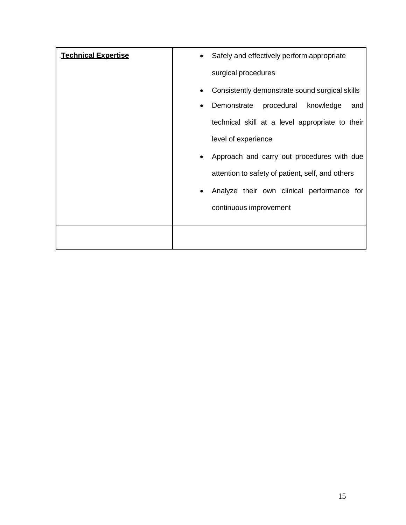| <b>Technical Expertise</b> | Safely and effectively perform appropriate       |
|----------------------------|--------------------------------------------------|
|                            | surgical procedures                              |
|                            | Consistently demonstrate sound surgical skills   |
|                            | Demonstrate<br>procedural<br>knowledge<br>and    |
|                            | technical skill at a level appropriate to their  |
|                            | level of experience                              |
|                            | Approach and carry out procedures with due       |
|                            | attention to safety of patient, self, and others |
|                            | Analyze their own clinical performance for       |
|                            | continuous improvement                           |
|                            |                                                  |
|                            |                                                  |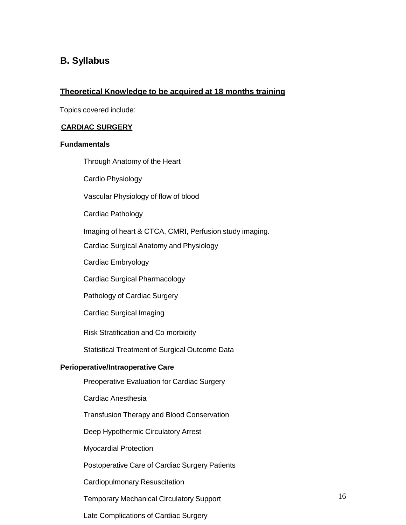### 1B**B. Syllabus**

#### <sup>U</sup>**Theoretical Knowledge to be acquired at 18 months training**

Topics covered include:

#### **CARDIAC SURGERY**

#### 8B**Fundamentals**

Through Anatomy of the Heart

Cardio Physiology

Vascular Physiology of flow of blood

Cardiac Pathology

Imaging of heart & CTCA, CMRI, Perfusion study imaging.

Cardiac Surgical Anatomy and Physiology

Cardiac Embryology

Cardiac Surgical Pharmacology

Pathology of Cardiac Surgery

Cardiac Surgical Imaging

Risk Stratification and Co morbidity

Statistical Treatment of Surgical Outcome Data

#### **Perioperative/Intraoperative Care**

Preoperative Evaluation for Cardiac Surgery

Cardiac Anesthesia

Transfusion Therapy and Blood Conservation

Deep Hypothermic Circulatory Arrest

Myocardial Protection

Postoperative Care of Cardiac Surgery Patients

Cardiopulmonary Resuscitation

Temporary Mechanical Circulatory Support

<span id="page-15-0"></span>Late Complications of Cardiac Surgery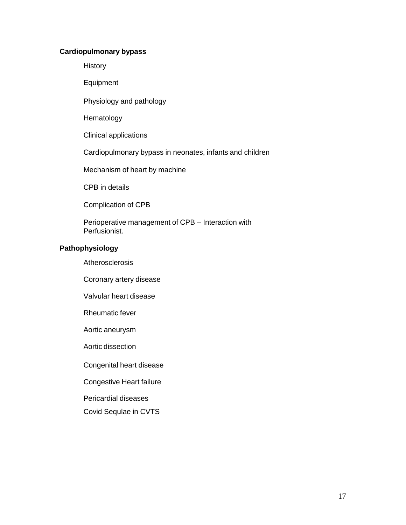#### **Cardiopulmonary bypass**

**History** 

Equipment

Physiology and pathology

Hematology

Clinical applications

Cardiopulmonary bypass in neonates, infants and children

Mechanism of heart by machine

CPB in details

Complication of CPB

Perioperative management of CPB – Interaction with Perfusionist.

#### **Pathophysiology**

**Atherosclerosis** 

Coronary artery disease

Valvular heart disease

Rheumatic fever

Aortic aneurysm

Aortic dissection

Congenital heart disease

Congestive Heart failure

Pericardial diseases

Covid Sequlae in CVTS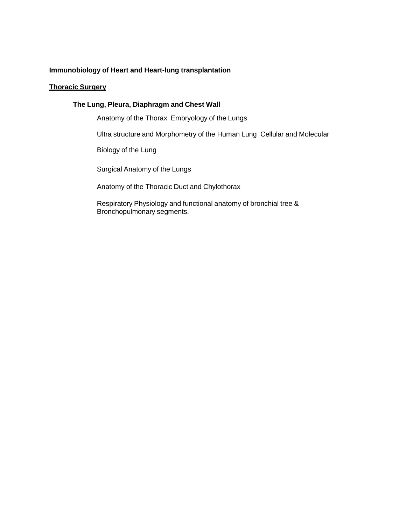#### **Immunobiology of Heart and Heart-lung transplantation**

#### **Thoracic Surgery**

#### **The Lung, Pleura, Diaphragm and Chest Wall**

Anatomy of the Thorax Embryology of the Lungs

Ultra structure and Morphometry of the Human Lung Cellular and Molecular

Biology of the Lung

Surgical Anatomy of the Lungs

Anatomy of the Thoracic Duct and Chylothorax

Respiratory Physiology and functional anatomy of bronchial tree & Bronchopulmonary segments.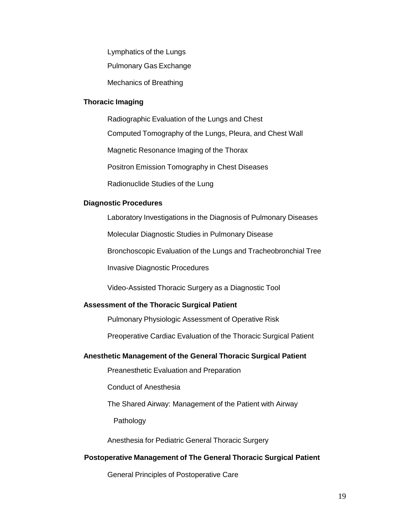Lymphatics of the Lungs

Pulmonary Gas Exchange

Mechanics of Breathing

#### **Thoracic Imaging**

Radiographic Evaluation of the Lungs and Chest

Computed Tomography of the Lungs, Pleura, and Chest Wall

Magnetic Resonance Imaging of the Thorax

Positron Emission Tomography in Chest Diseases

Radionuclide Studies of the Lung

#### **Diagnostic Procedures**

Laboratory Investigations in the Diagnosis of Pulmonary Diseases

Molecular Diagnostic Studies in Pulmonary Disease

Bronchoscopic Evaluation of the Lungs and Tracheobronchial Tree

Invasive Diagnostic Procedures

Video-Assisted Thoracic Surgery as a Diagnostic Tool

#### **Assessment of the Thoracic Surgical Patient**

Pulmonary Physiologic Assessment of Operative Risk

Preoperative Cardiac Evaluation of the Thoracic Surgical Patient

#### **Anesthetic Management of the General Thoracic Surgical Patient**

Preanesthetic Evaluation and Preparation

Conduct of Anesthesia

The Shared Airway: Management of the Patient with Airway

Pathology

Anesthesia for Pediatric General Thoracic Surgery

#### **Postoperative Management of The General Thoracic Surgical Patient**

General Principles of Postoperative Care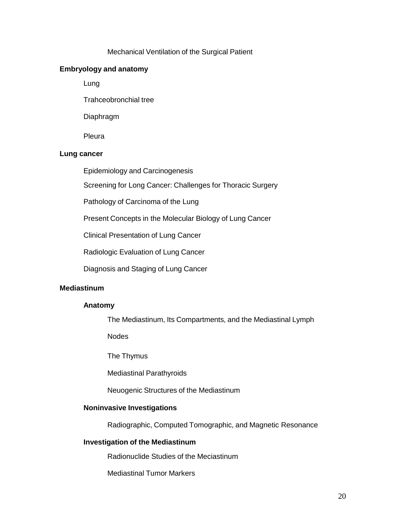#### Mechanical Ventilation of the Surgical Patient

#### **Embryology and anatomy**

Lung

Trahceobronchial tree

Diaphragm

Pleura

#### **Lung cancer**

Epidemiology and Carcinogenesis

Screening for Long Cancer: Challenges for Thoracic Surgery

Pathology of Carcinoma of the Lung

Present Concepts in the Molecular Biology of Lung Cancer

Clinical Presentation of Lung Cancer

Radiologic Evaluation of Lung Cancer

Diagnosis and Staging of Lung Cancer

#### **Mediastinum**

#### **Anatomy**

The Mediastinum, Its Compartments, and the Mediastinal Lymph

**Nodes** 

The Thymus

Mediastinal Parathyroids

Neuogenic Structures of the Mediastinum

#### **Noninvasive Investigations**

Radiographic, Computed Tomographic, and Magnetic Resonance

#### **Investigation of the Mediastinum**

Radionuclide Studies of the Meciastinum

Mediastinal Tumor Markers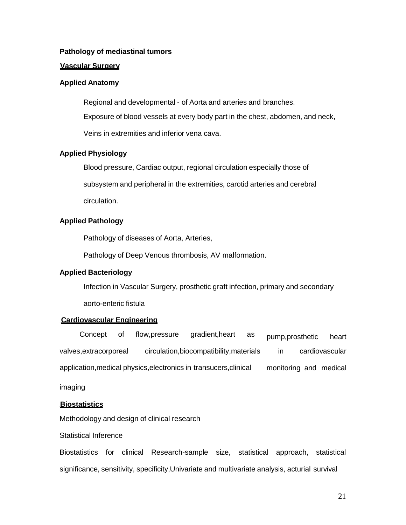#### **Pathology of mediastinal tumors**

#### **Vascular Surgery**

#### **Applied Anatomy**

Regional and developmental - of Aorta and arteries and branches.

Exposure of blood vessels at every body part in the chest, abdomen, and neck,

Veins in extremities and inferior vena cava.

#### **Applied Physiology**

Blood pressure, Cardiac output, regional circulation especially those of

subsystem and peripheral in the extremities, carotid arteries and cerebral

circulation.

#### **Applied Pathology**

Pathology of diseases of Aorta, Arteries,

Pathology of Deep Venous thrombosis, AV malformation.

#### **Applied Bacteriology**

Infection in Vascular Surgery, prosthetic graft infection, primary and secondary

aorto-enteric fistula

#### **Cardiovascular Engineering**

Concept of flow,pressure gradient,heart as valves,extracorporeal circulation,biocompatibility,materials application,medical physics,electronics in transucers,clinical pump,prosthetic heart in cardiovascular monitoring and medical

imaging

#### <sup>U</sup>**Biostatistics**

Methodology and design of clinical research

#### Statistical Inference

Biostatistics for clinical Research-sample size, statistical approach, statistical significance, sensitivity, specificity,Univariate and multivariate analysis, acturial survival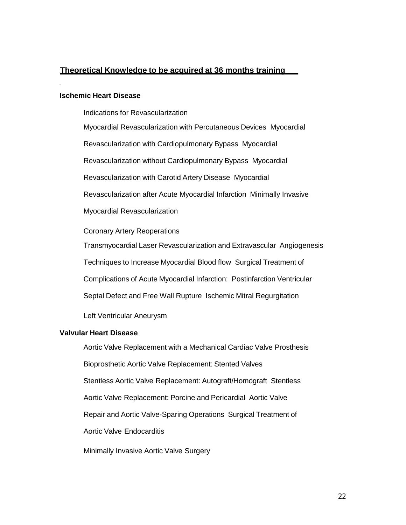#### <sup>U</sup>**Theoretical Knowledge to be acquired at 36 months training**

#### **Ischemic Heart Disease**

Indications for Revascularization

Myocardial Revascularization with Percutaneous Devices Myocardial Revascularization with Cardiopulmonary Bypass Myocardial Revascularization without Cardiopulmonary Bypass Myocardial Revascularization with Carotid Artery Disease Myocardial Revascularization after Acute Myocardial Infarction Minimally Invasive Myocardial Revascularization Coronary Artery Reoperations

Transmyocardial Laser Revascularization and Extravascular Angiogenesis Techniques to Increase Myocardial Blood flow Surgical Treatment of Complications of Acute Myocardial Infarction: Postinfarction Ventricular

Septal Defect and Free Wall Rupture Ischemic Mitral Regurgitation

Left Ventricular Aneurysm

#### **Valvular Heart Disease**

Aortic Valve Replacement with a Mechanical Cardiac Valve Prosthesis Bioprosthetic Aortic Valve Replacement: Stented Valves Stentless Aortic Valve Replacement: Autograft/Homograft Stentless Aortic Valve Replacement: Porcine and Pericardial Aortic Valve Repair and Aortic Valve-Sparing Operations Surgical Treatment of Aortic Valve Endocarditis

Minimally Invasive Aortic Valve Surgery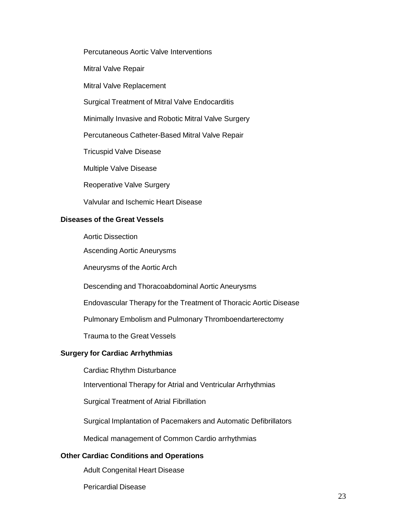Percutaneous Aortic Valve Interventions

Mitral Valve Repair

Mitral Valve Replacement

Surgical Treatment of Mitral Valve Endocarditis

Minimally Invasive and Robotic Mitral Valve Surgery

Percutaneous Catheter-Based Mitral Valve Repair

Tricuspid Valve Disease

Multiple Valve Disease

Reoperative Valve Surgery

Valvular and Ischemic Heart Disease

#### 12B**Diseases of the Great Vessels**

Aortic Dissection

Ascending Aortic Aneurysms

Aneurysms of the Aortic Arch

Descending and Thoracoabdominal Aortic Aneurysms

Endovascular Therapy for the Treatment of Thoracic Aortic Disease

Pulmonary Embolism and Pulmonary Thromboendarterectomy

Trauma to the Great Vessels

#### **Surgery for Cardiac Arrhythmias**

Cardiac Rhythm Disturbance

Interventional Therapy for Atrial and Ventricular Arrhythmias

Surgical Treatment of Atrial Fibrillation

Surgical Implantation of Pacemakers and Automatic Defibrillators

Medical management of Common Cardio arrhythmias

#### **26 Other Cardiac Conditions and Operations**

Adult Congenital Heart Disease

Pericardial Disease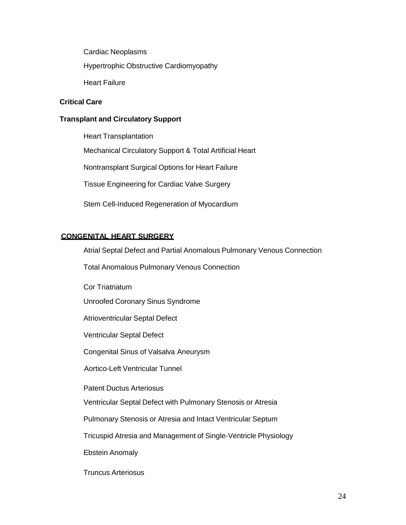Cardiac Neoplasms

Hypertrophic Obstructive Cardiomyopathy

Heart Failure

#### **Critical Care**

#### **Transplant and Circulatory Support**

Heart Transplantation Mechanical Circulatory Support & Total Artificial Heart Nontransplant Surgical Options for Heart Failure Tissue Engineering for Cardiac Valve Surgery Stem Cell-Induced Regeneration of Myocardium

#### **CONGENITAL HEART SURGERY**

Atrial Septal Defect and Partial Anomalous Pulmonary Venous Connection

Total Anomalous Pulmonary Venous Connection

Cor Triatriatum

Unroofed Coronary Sinus Syndrome

Atrioventricular Septal Defect

Ventricular Septal Defect

Congenital Sinus of Valsalva Aneurysm

Aortico-Left Ventricular Tunnel

Patent Ductus Arteriosus

Ventricular Septal Defect with Pulmonary Stenosis or Atresia

Pulmonary Stenosis or Atresia and Intact Ventricular Septum

Tricuspid Atresia and Management of Single-Ventricle Physiology

Ebstein Anomaly

Truncus Arteriosus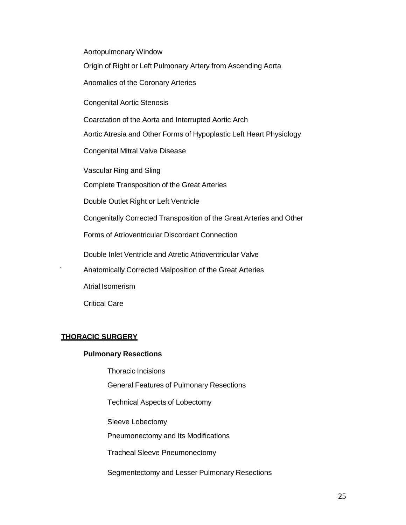Aortopulmonary Window

Origin of Right or Left Pulmonary Artery from Ascending Aorta

Anomalies of the Coronary Arteries

Congenital Aortic Stenosis

Coarctation of the Aorta and Interrupted Aortic Arch

Aortic Atresia and Other Forms of Hypoplastic Left Heart Physiology

Congenital Mitral Valve Disease

Vascular Ring and Sling

Complete Transposition of the Great Arteries

Double Outlet Right or Left Ventricle

Congenitally Corrected Transposition of the Great Arteries and Other

Forms of Atrioventricular Discordant Connection

Double Inlet Ventricle and Atretic Atrioventricular Valve

` Anatomically Corrected Malposition of the Great Arteries

Atrial Isomerism

Critical Care

#### 20BU **THORACIC SURGERY**

#### **Pulmonary Resections**

Thoracic Incisions

General Features of Pulmonary Resections

Technical Aspects of Lobectomy

Sleeve Lobectomy

Pneumonectomy and Its Modifications

Tracheal Sleeve Pneumonectomy

Segmentectomy and Lesser Pulmonary Resections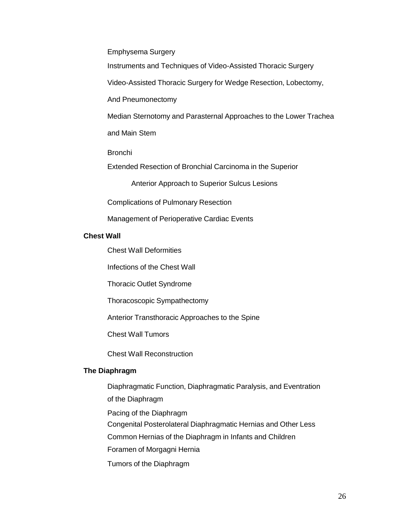Emphysema Surgery

Instruments and Techniques of Video-Assisted Thoracic Surgery

Video-Assisted Thoracic Surgery for Wedge Resection, Lobectomy,

And Pneumonectomy

Median Sternotomy and Parasternal Approaches to the Lower Trachea

and Main Stem

Bronchi

Extended Resection of Bronchial Carcinoma in the Superior

Anterior Approach to Superior Sulcus Lesions

Complications of Pulmonary Resection

Management of Perioperative Cardiac Events

#### **Chest Wall**

Chest Wall Deformities

Infections of the Chest Wall

Thoracic Outlet Syndrome

Thoracoscopic Sympathectomy

Anterior Transthoracic Approaches to the Spine

Chest Wall Tumors

Chest Wall Reconstruction

#### **The Diaphragm**

Diaphragmatic Function, Diaphragmatic Paralysis, and Eventration of the Diaphragm

Pacing of the Diaphragm

Congenital Posterolateral Diaphragmatic Hernias and Other Less

Common Hernias of the Diaphragm in Infants and Children

Foramen of Morgagni Hernia

Tumors of the Diaphragm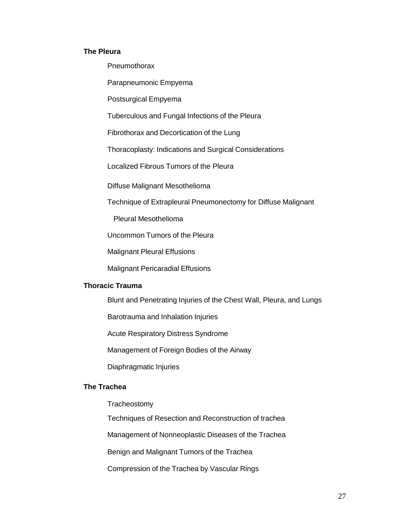#### **The Pleura**

**Pneumothorax** 

Parapneumonic Empyema

Postsurgical Empyema

Tuberculous and Fungal Infections of the Pleura

Fibrothorax and Decortication of the Lung

Thoracoplasty: Indications and Surgical Considerations

Localized Fibrous Tumors of the Pleura

Diffuse Malignant Mesothelioma

Technique of Extrapleural Pneumonectomy for Diffuse Malignant

Pleural Mesothelioma

Uncommon Tumors of the Pleura

Malignant Pleural Effusions

Malignant Pericaradial Effusions

#### **Thoracic Trauma**

Blunt and Penetrating Injuries of the Chest Wall, Pleura, and Lungs

Barotrauma and Inhalation Injuries

Acute Respiratory Distress Syndrome

Management of Foreign Bodies of the Airway

Diaphragmatic Injuries

#### **The Trachea**

**Tracheostomy** 

Techniques of Resection and Reconstruction of trachea

Management of Nonneoplastic Diseases of the Trachea

Benign and Malignant Tumors of the Trachea

Compression of the Trachea by Vascular Rings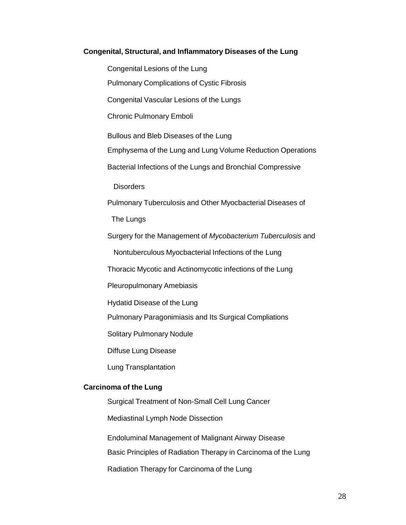#### **Congenital, Structural, and Inflammatory Diseases of the Lung**

Congenital Lesions of the Lung Pulmonary Complications of Cystic Fibrosis Congenital Vascular Lesions of the Lungs Chronic Pulmonary Emboli Bullous and Bleb Diseases of the Lung Emphysema of the Lung and Lung Volume Reduction Operations Bacterial Infections of the Lungs and Bronchial Compressive **Disorders** Pulmonary Tuberculosis and Other Myocbacterial Diseases of The Lungs Surgery for the Management of *Mycobacterium Tuberculosis* and Nontuberculous Myocbacterial Infections of the Lung Thoracic Mycotic and Actinomycotic infections of the Lung Pleuropulmonary Amebiasis Hydatid Disease of the Lung Pulmonary Paragonimiasis and Its Surgical Compliations Solitary Pulmonary Nodule Diffuse Lung Disease Lung Transplantation **Carcinoma of the Lung** Surgical Treatment of Non-Small Cell Lung Cancer Mediastinal Lymph Node Dissection

Endoluminal Management of Malignant Airway Disease

Basic Principles of Radiation Therapy in Carcinoma of the Lung

Radiation Therapy for Carcinoma of the Lung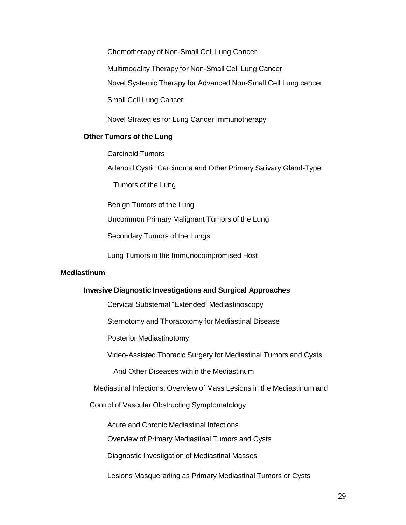Chemotherapy of Non-Small Cell Lung Cancer Multimodality Therapy for Non-Small Cell Lung Cancer Novel Systemic Therapy for Advanced Non-Small Cell Lung cancer Small Cell Lung Cancer

Novel Strategies for Lung Cancer Immunotherapy

#### **Other Tumors of the Lung**

Carcinoid Tumors

Adenoid Cystic Carcinoma and Other Primary Salivary Gland-Type

Tumors of the Lung

Benign Tumors of the Lung

Uncommon Primary Malignant Tumors of the Lung

Secondary Tumors of the Lungs

Lung Tumors in the Immunocompromised Host

#### 15B**Mediastinum**

#### **Invasive Diagnostic Investigations and Surgical Approaches**

Cervical Substernal "Extended" Mediastinoscopy

Sternotomy and Thoracotomy for Mediastinal Disease

Posterior Mediastinotomy

Video-Assisted Thoracic Surgery for Mediastinal Tumors and Cysts

And Other Diseases within the Mediastinum

Mediastinal Infections, Overview of Mass Lesions in the Mediastinum and

Control of Vascular Obstructing Symptomatology

Acute and Chronic Mediastinal Infections

Overview of Primary Mediastinal Tumors and Cysts

Diagnostic Investigation of Mediastinal Masses

Lesions Masquerading as Primary Mediastinal Tumors or Cysts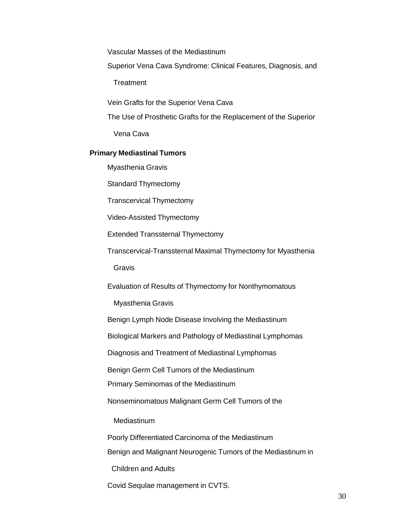Vascular Masses of the Mediastinum

Superior Vena Cava Syndrome: Clinical Features, Diagnosis, and

**Treatment** 

Vein Grafts for the Superior Vena Cava

The Use of Prosthetic Grafts for the Replacement of the Superior

Vena Cava

#### **Primary Mediastinal Tumors**

Myasthenia Gravis

Standard Thymectomy

Transcervical Thymectomy

Video-Assisted Thymectomy

Extended Transsternal Thymectomy

Transcervical-Transsternal Maximal Thymectomy for Myasthenia

**Gravis** 

Evaluation of Results of Thymectomy for Nonthymomatous

Myasthenia Gravis

Benign Lymph Node Disease Involving the Mediastinum

Biological Markers and Pathology of Mediastinal Lymphomas

Diagnosis and Treatment of Mediastinal Lymphomas

Benign Germ Cell Tumors of the Mediastinum

Primary Seminomas of the Mediastinum

Nonseminomatous Malignant Germ Cell Tumors of the

**Mediastinum** 

Poorly Differentiated Carcinoma of the Mediastinum

Benign and Malignant Neurogenic Tumors of the Mediastinum in

Children and Adults

Covid Sequlae management in CVTS.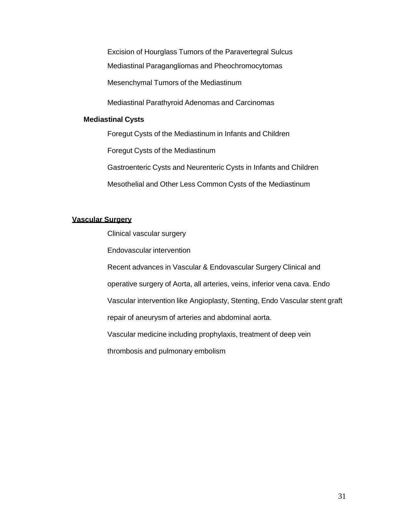Excision of Hourglass Tumors of the Paravertegral Sulcus Mediastinal Paragangliomas and Pheochromocytomas Mesenchymal Tumors of the Mediastinum

Mediastinal Parathyroid Adenomas and Carcinomas

#### **Mediastinal Cysts**

Foregut Cysts of the Mediastinum in Infants and Children

Foregut Cysts of the Mediastinum

Gastroenteric Cysts and Neurenteric Cysts in Infants and Children

Mesothelial and Other Less Common Cysts of the Mediastinum

#### <sup>U</sup>**Vascular Surgery**

Clinical vascular surgery

Endovascular intervention

Recent advances in Vascular & Endovascular Surgery Clinical and

operative surgery of Aorta, all arteries, veins, inferior vena cava. Endo

Vascular intervention like Angioplasty, Stenting, Endo Vascular stent graft

repair of aneurysm of arteries and abdominal aorta.

Vascular medicine including prophylaxis, treatment of deep vein

thrombosis and pulmonary embolism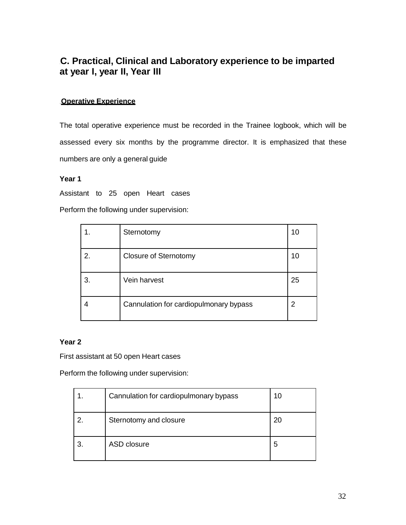### 2B**C. Practical, Clinical and Laboratory experience to be imparted at year I, year II, Year III**

#### **Operative Experience**

The total operative experience must be recorded in the Trainee logbook, which will be assessed every six months by the programme director. It is emphasized that these numbers are only a general guide

#### **Year 1**

Assistant to 25 open Heart cases

Perform the following under supervision:

|    | Sternotomy                             | 10 |
|----|----------------------------------------|----|
| 2. | <b>Closure of Sternotomy</b>           | 10 |
| 3. | Vein harvest                           | 25 |
|    | Cannulation for cardiopulmonary bypass | 2  |

#### **Year 2**

First assistant at 50 open Heart cases

Perform the following under supervision:

<span id="page-31-0"></span>

|   | Cannulation for cardiopulmonary bypass | 10 |
|---|----------------------------------------|----|
| 2 | Sternotomy and closure                 | 20 |
| 3 | ASD closure                            | 5  |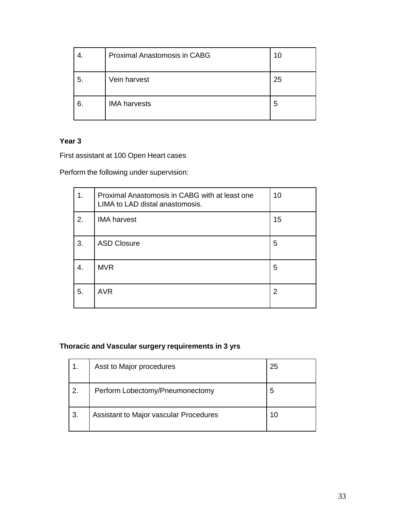|    | <b>Proximal Anastomosis in CABG</b> | 10 |
|----|-------------------------------------|----|
| 5. | Vein harvest                        | 25 |
| 6. | <b>IMA</b> harvests                 | 5  |

### **Year 3**

First assistant at 100 Open Heart cases

Perform the following under supervision:

| 1. | Proximal Anastomosis in CABG with at least one<br>LIMA to LAD distal anastomosis. | 10 |
|----|-----------------------------------------------------------------------------------|----|
| 2. | <b>IMA</b> harvest                                                                | 15 |
| 3. | <b>ASD Closure</b>                                                                | 5  |
| 4. | <b>MVR</b>                                                                        | 5  |
| 5. | <b>AVR</b>                                                                        | 2  |

#### **Thoracic and Vascular surgery requirements in 3 yrs**

|               | Asst to Major procedures               | 25 |
|---------------|----------------------------------------|----|
| $^{\circ}$ 2. | Perform Lobectomy/Pneumonectomy        | 5  |
| 3.            | Assistant to Major vascular Procedures | 10 |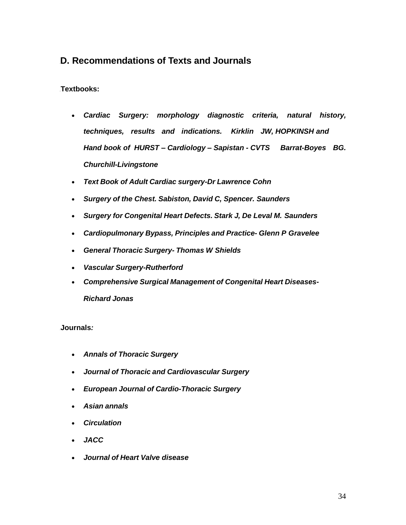### 3B**D. Recommendations of Texts and Journals**

#### Textbooks:

- *Cardiac Surgery: morphology diagnostic criteria, natural history, techniques, results and indications. Kirklin JW, HOPKINSH and Hand book of HURST – Cardiology – Sapistan - CVTS Barrat-Boyes BG. Churchill-Livingstone*
- *Text Book of Adult Cardiac surgery-Dr Lawrence Cohn*
- *Surgery of the Chest. Sabiston, David C, Spencer. Saunders*
- *Surgery for Congenital Heart Defects. Stark J, De Leval M. Saunders*
- *Cardiopulmonary Bypass, Principles and Practice- Glenn P Gravelee*
- *General Thoracic Surgery- Thomas W Shields*
- *Vascular Surgery-Rutherford*
- *Comprehensive Surgical Management of Congenital Heart Diseases-Richard Jonas*

#### 17B**Journals***:*

- *Annals of Thoracic Surgery*
- *Journal of Thoracic and Cardiovascular Surgery*
- *European Journal of Cardio-Thoracic Surgery*
- *Asian annals*
- *Circulation*
- *JACC*
- <span id="page-33-0"></span>*Journal of Heart Valve disease*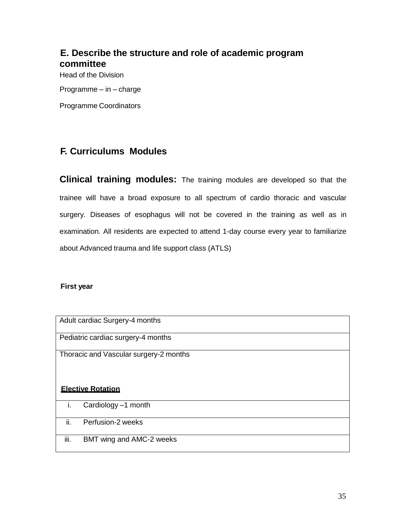### 4B**E. Describe the structure and role of academic program committee**

Head of the Division

Programme – in – charge

Programme Coordinators

### 5B**F. Curriculums Modules**

**Clinical training modules:** The training modules are developed so that the trainee will have a broad exposure to all spectrum of cardio thoracic and vascular surgery. Diseases of esophagus will not be covered in the training as well as in examination. All residents are expected to attend 1-day course every year to familiarize about Advanced trauma and life support class (ATLS)

#### 25B**First year**

<span id="page-34-0"></span>

|     | Adult cardiac Surgery-4 months         |
|-----|----------------------------------------|
|     | Pediatric cardiac surgery-4 months     |
|     | Thoracic and Vascular surgery-2 months |
|     |                                        |
|     | <b>Elective Rotation</b>               |
| i.  | Cardiology -1 month                    |
| ii. | Perfusion-2 weeks                      |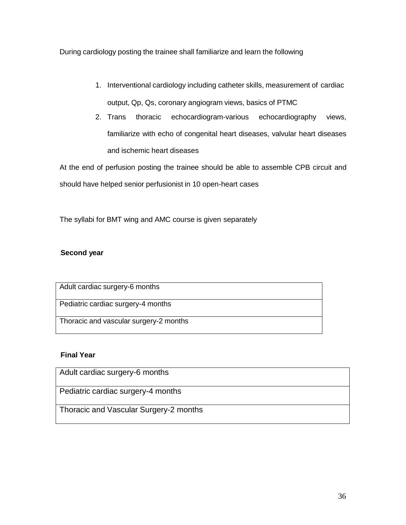During cardiology posting the trainee shall familiarize and learn the following

- 1. Interventional cardiology including catheter skills, measurement of cardiac output, Qp, Qs, coronary angiogram views, basics of PTMC
- 2. Trans thoracic echocardiogram-various echocardiography views, familiarize with echo of congenital heart diseases, valvular heart diseases and ischemic heart diseases

At the end of perfusion posting the trainee should be able to assemble CPB circuit and should have helped senior perfusionist in 10 open-heart cases

The syllabi for BMT wing and AMC course is given separately

#### **Second** year

| Adult cardiac surgery-6 months         |
|----------------------------------------|
| Pediatric cardiac surgery-4 months     |
|                                        |
|                                        |
| Thoracic and vascular surgery-2 months |
|                                        |
|                                        |

#### **Final Year**

| Adult cardiac surgery-6 months         |
|----------------------------------------|
| Pediatric cardiac surgery-4 months     |
| Thoracic and Vascular Surgery-2 months |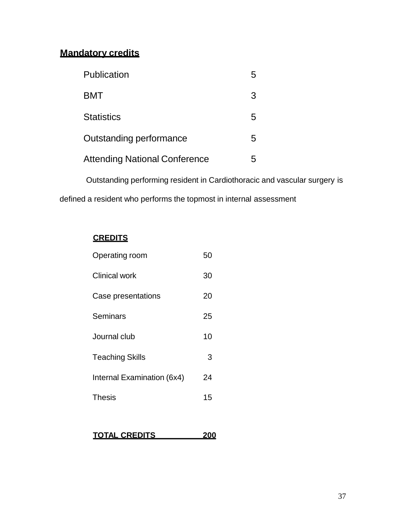### <sup>U</sup>**Mandatory credits**

| Publication                          |   |
|--------------------------------------|---|
| <b>BMT</b>                           | З |
| <b>Statistics</b>                    | 5 |
| Outstanding performance              | 5 |
| <b>Attending National Conference</b> |   |

Outstanding performing resident in Cardiothoracic and vascular surgery is defined a resident who performs the topmost in internal assessment

### <sup>U</sup>**CREDITS**

| Operating room             | 50 |
|----------------------------|----|
| <b>Clinical work</b>       | 30 |
| Case presentations         | 20 |
| Seminars                   | 25 |
| Journal club               | 10 |
| Teaching Skills            | 3  |
| Internal Examination (6x4) | 24 |
| Thesis                     | 15 |
|                            |    |

|--|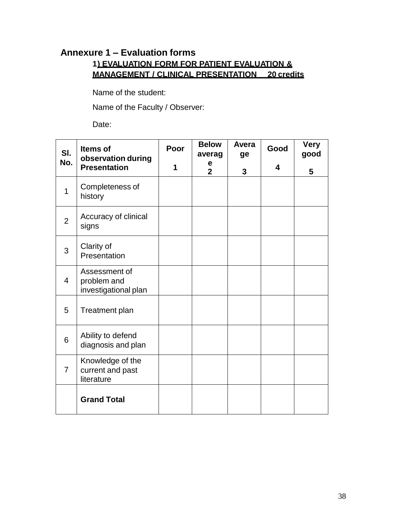### 6B **Annexure 1 – Evaluation forms 1**U**) EVALUATION FORM FOR PATIENT EVALUATION & MANAGEMENT / CLINICAL PRESENTATION 20 credits**

Name of the student:

Name of the Faculty / Observer:

<span id="page-37-0"></span>

| SI.            | <b>Items of</b><br>observation during                | Poor | <b>Below</b><br>averag | Avera<br>ge | Good | <b>Very</b><br>good |
|----------------|------------------------------------------------------|------|------------------------|-------------|------|---------------------|
| No.            | <b>Presentation</b>                                  | 1    | е<br>$\overline{2}$    | 3           | 4    | 5                   |
| $\overline{1}$ | Completeness of<br>history                           |      |                        |             |      |                     |
| $\overline{2}$ | Accuracy of clinical<br>signs                        |      |                        |             |      |                     |
| 3              | Clarity of<br>Presentation                           |      |                        |             |      |                     |
| $\overline{4}$ | Assessment of<br>problem and<br>investigational plan |      |                        |             |      |                     |
| 5              | Treatment plan                                       |      |                        |             |      |                     |
| 6              | Ability to defend<br>diagnosis and plan              |      |                        |             |      |                     |
| $\overline{7}$ | Knowledge of the<br>current and past<br>literature   |      |                        |             |      |                     |
|                | <b>Grand Total</b>                                   |      |                        |             |      |                     |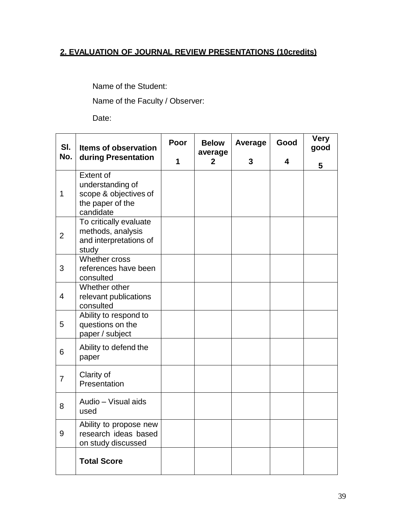### <sup>U</sup>**2. EVALUATION OF JOURNAL REVIEW PRESENTATIONS (10credits)**

Name of the Student:

Name of the Faculty / Observer:

| SI.            | <b>Items of observation</b>                                                                    | Poor              | <b>Below</b><br>average | Average | Good | <b>Very</b><br>good |
|----------------|------------------------------------------------------------------------------------------------|-------------------|-------------------------|---------|------|---------------------|
| No.            | during Presentation                                                                            | 1<br>$\mathbf{2}$ |                         | 3       | 4    | 5                   |
| 1              | <b>Extent of</b><br>understanding of<br>scope & objectives of<br>the paper of the<br>candidate |                   |                         |         |      |                     |
| $\overline{2}$ | To critically evaluate<br>methods, analysis<br>and interpretations of<br>study                 |                   |                         |         |      |                     |
| 3              | Whether cross<br>references have been<br>consulted                                             |                   |                         |         |      |                     |
| $\overline{4}$ | Whether other<br>relevant publications<br>consulted                                            |                   |                         |         |      |                     |
| 5              | Ability to respond to<br>questions on the<br>paper / subject                                   |                   |                         |         |      |                     |
| 6              | Ability to defend the<br>paper                                                                 |                   |                         |         |      |                     |
| $\overline{7}$ | Clarity of<br>Presentation                                                                     |                   |                         |         |      |                     |
| 8              | Audio - Visual aids<br>used                                                                    |                   |                         |         |      |                     |
| 9              | Ability to propose new<br>research ideas based<br>on study discussed                           |                   |                         |         |      |                     |
|                | <b>Total Score</b>                                                                             |                   |                         |         |      |                     |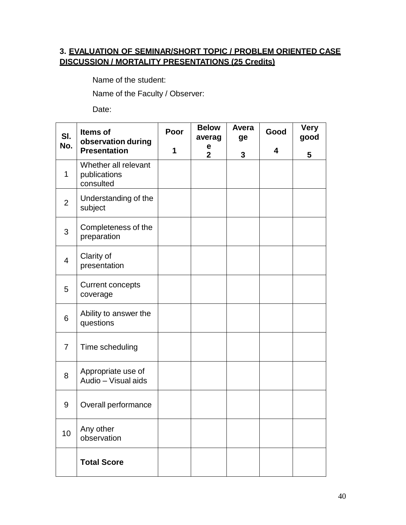### **3.** <sup>U</sup>**EVALUATION OF SEMINAR/SHORT TOPIC / PROBLEM ORIENTED CASE DISCUSSION / MORTALITY PRESENTATIONS (25 Credits)**

Name of the student:

Name of the Faculty / Observer:

| SI.            | Items of<br>observation during                    | Poor | <b>Below</b><br>averag | Avera<br>ge | Good | <b>Very</b><br>good |
|----------------|---------------------------------------------------|------|------------------------|-------------|------|---------------------|
| No.            | <b>Presentation</b>                               | 1    | e<br>$\overline{2}$    | 3           | 4    | 5                   |
| 1              | Whether all relevant<br>publications<br>consulted |      |                        |             |      |                     |
| $\overline{2}$ | Understanding of the<br>subject                   |      |                        |             |      |                     |
| 3              | Completeness of the<br>preparation                |      |                        |             |      |                     |
| $\overline{4}$ | Clarity of<br>presentation                        |      |                        |             |      |                     |
| 5              | <b>Current concepts</b><br>coverage               |      |                        |             |      |                     |
| 6              | Ability to answer the<br>questions                |      |                        |             |      |                     |
| $\overline{7}$ | Time scheduling                                   |      |                        |             |      |                     |
| 8              | Appropriate use of<br>Audio - Visual aids         |      |                        |             |      |                     |
| 9              | Overall performance                               |      |                        |             |      |                     |
| 10             | Any other<br>observation                          |      |                        |             |      |                     |
|                | <b>Total Score</b>                                |      |                        |             |      |                     |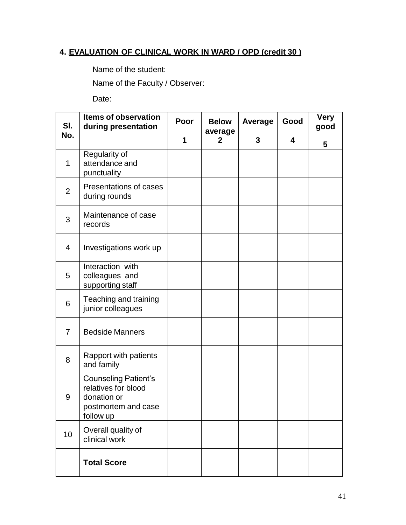### **4.** <sup>U</sup>**EVALUATION OF CLINICAL WORK IN WARD / OPD (credit 30 )**

Name of the student:

Name of the Faculty / Observer:

| SI.            | <b>Items of observation</b><br>during presentation                                                    | Poor | <b>Below</b><br>average | <b>Average</b> | Good | <b>Very</b><br>good |
|----------------|-------------------------------------------------------------------------------------------------------|------|-------------------------|----------------|------|---------------------|
| No.            |                                                                                                       | 1    | $\mathbf{2}$            | 3              | 4    | 5                   |
| $\mathbf{1}$   | Regularity of<br>attendance and<br>punctuality                                                        |      |                         |                |      |                     |
| $\overline{2}$ | Presentations of cases<br>during rounds                                                               |      |                         |                |      |                     |
| 3              | Maintenance of case<br>records                                                                        |      |                         |                |      |                     |
| 4              | Investigations work up                                                                                |      |                         |                |      |                     |
| 5              | Interaction with<br>colleagues and<br>supporting staff                                                |      |                         |                |      |                     |
| 6              | Teaching and training<br>junior colleagues                                                            |      |                         |                |      |                     |
| $\overline{7}$ | <b>Bedside Manners</b>                                                                                |      |                         |                |      |                     |
| 8              | Rapport with patients<br>and family                                                                   |      |                         |                |      |                     |
| 9              | <b>Counseling Patient's</b><br>relatives for blood<br>donation or<br>postmortem and case<br>follow up |      |                         |                |      |                     |
| 10             | Overall quality of<br>clinical work                                                                   |      |                         |                |      |                     |
|                | <b>Total Score</b>                                                                                    |      |                         |                |      |                     |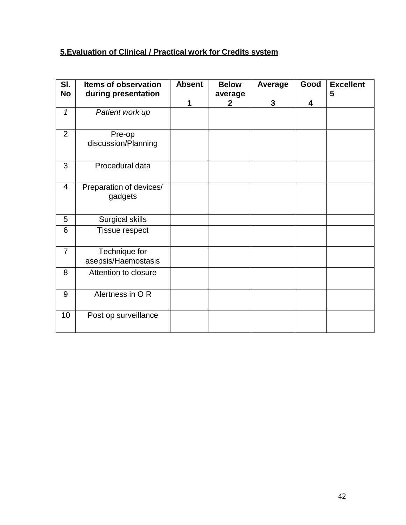### <sup>U</sup>**5.Evaluation of Clinical / Practical work for Credits system**

| SI.            | <b>Items of observation</b>          | <b>Absent</b> | <b>Below</b>            | Average      | Good | <b>Excellent</b> |
|----------------|--------------------------------------|---------------|-------------------------|--------------|------|------------------|
| No             | during presentation                  | 1             | average<br>$\mathbf{2}$ | $\mathbf{3}$ | 4    | 5                |
| $\mathcal I$   | Patient work up                      |               |                         |              |      |                  |
| $\overline{2}$ | Pre-op<br>discussion/Planning        |               |                         |              |      |                  |
| 3              | Procedural data                      |               |                         |              |      |                  |
| 4              | Preparation of devices/<br>gadgets   |               |                         |              |      |                  |
| 5              | Surgical skills                      |               |                         |              |      |                  |
| 6              | <b>Tissue respect</b>                |               |                         |              |      |                  |
| $\overline{7}$ | Technique for<br>asepsis/Haemostasis |               |                         |              |      |                  |
| 8              | Attention to closure                 |               |                         |              |      |                  |
| 9              | Alertness in OR                      |               |                         |              |      |                  |
| 10             | Post op surveillance                 |               |                         |              |      |                  |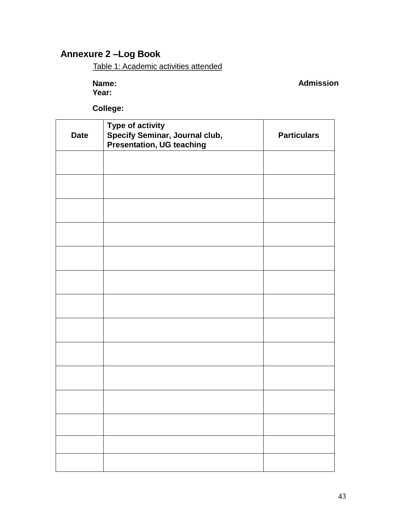### 7B **Annexure 2 –Log Book**

Table 1: Academic activities attended

**Name: Year:**

**Admission**

**College:**

<span id="page-42-0"></span>

| <b>Date</b> | <b>Type of activity</b><br>Specify Seminar, Journal club,<br>Presentation, UG teaching | <b>Particulars</b> |
|-------------|----------------------------------------------------------------------------------------|--------------------|
|             |                                                                                        |                    |
|             |                                                                                        |                    |
|             |                                                                                        |                    |
|             |                                                                                        |                    |
|             |                                                                                        |                    |
|             |                                                                                        |                    |
|             |                                                                                        |                    |
|             |                                                                                        |                    |
|             |                                                                                        |                    |
|             |                                                                                        |                    |
|             |                                                                                        |                    |
|             |                                                                                        |                    |
|             |                                                                                        |                    |
|             |                                                                                        |                    |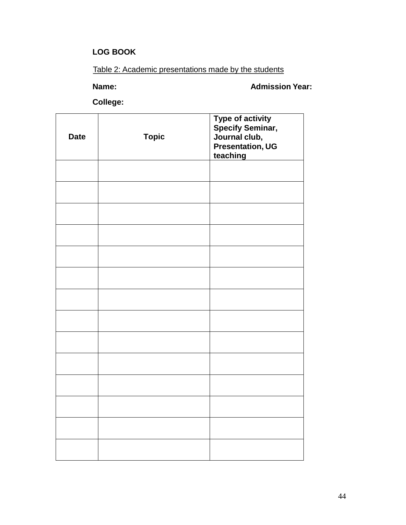### **LOG BOOK**

### Table 2: Academic presentations made by the students

**Name: Admission Year:**

**College:**

| <b>Date</b> | <b>Topic</b> | Type of activity<br>Specify Seminar,<br>Journal club,<br><b>Presentation, UG</b><br>teaching |
|-------------|--------------|----------------------------------------------------------------------------------------------|
|             |              |                                                                                              |
|             |              |                                                                                              |
|             |              |                                                                                              |
|             |              |                                                                                              |
|             |              |                                                                                              |
|             |              |                                                                                              |
|             |              |                                                                                              |
|             |              |                                                                                              |
|             |              |                                                                                              |
|             |              |                                                                                              |
|             |              |                                                                                              |
|             |              |                                                                                              |
|             |              |                                                                                              |
|             |              |                                                                                              |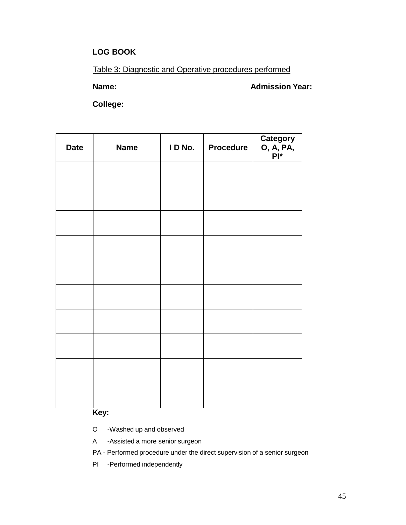#### **LOG BOOK**

Table 3: Diagnostic and Operative procedures performed

**Name: Admission Year:**

**College:**

| <b>Date</b> | <b>Name</b> | I D No. | <b>Procedure</b> | Category<br>O, A, PA,<br>Pl* |
|-------------|-------------|---------|------------------|------------------------------|
|             |             |         |                  |                              |
|             |             |         |                  |                              |
|             |             |         |                  |                              |
|             |             |         |                  |                              |
|             |             |         |                  |                              |
|             |             |         |                  |                              |
|             |             |         |                  |                              |
|             |             |         |                  |                              |
|             |             |         |                  |                              |
|             |             |         |                  |                              |

**Key:**

O -Washed up and observed

A -Assisted a more senior surgeon

PA - Performed procedure under the direct supervision of a senior surgeon

PI -Performed independently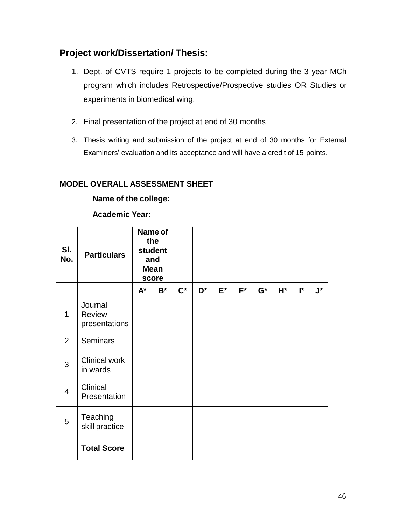### **Project work/Dissertation/ Thesis:**

- 1. Dept. of CVTS require 1 projects to be completed during the 3 year MCh program which includes Retrospective/Prospective studies OR Studies or experiments in biomedical wing.
- 2. Final presentation of the project at end of 30 months
- 3. Thesis writing and submission of the project at end of 30 months for External Examiners' evaluation and its acceptance and will have a credit of 15 points.

### **MODEL OVERALL ASSESSMENT SHEET**

**Name of the college:** 

**Academic Year:**

| SI.<br>No.     | <b>Particulars</b>                        |       | Name of<br>the<br>student<br>and<br><b>Mean</b><br>score |                |                |       |       |       |    |    |                    |
|----------------|-------------------------------------------|-------|----------------------------------------------------------|----------------|----------------|-------|-------|-------|----|----|--------------------|
|                |                                           | $A^*$ | $B^*$                                                    | $\mathbf{C}^*$ | D <sup>*</sup> | $E^*$ | $F^*$ | $G^*$ | H* | l* | $\mathsf{J}^\star$ |
| 1              | Journal<br><b>Review</b><br>presentations |       |                                                          |                |                |       |       |       |    |    |                    |
| $\overline{2}$ | <b>Seminars</b>                           |       |                                                          |                |                |       |       |       |    |    |                    |
| 3              | <b>Clinical work</b><br>in wards          |       |                                                          |                |                |       |       |       |    |    |                    |
| $\overline{4}$ | Clinical<br>Presentation                  |       |                                                          |                |                |       |       |       |    |    |                    |
| 5              | Teaching<br>skill practice                |       |                                                          |                |                |       |       |       |    |    |                    |
|                | <b>Total Score</b>                        |       |                                                          |                |                |       |       |       |    |    |                    |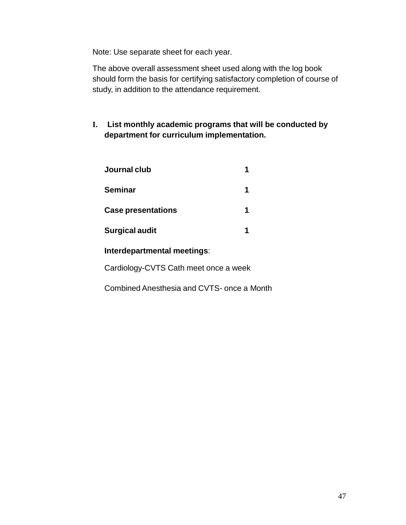Note: Use separate sheet for each year.

The above overall assessment sheet used along with the log book should form the basis for certifying satisfactory completion of course of study, in addition to the attendance requirement.

**I. List monthly academic programs that will be conducted by department for curriculum implementation.**

| Journal club              |  |
|---------------------------|--|
| <b>Seminar</b>            |  |
| <b>Case presentations</b> |  |
| <b>Surgical audit</b>     |  |
|                           |  |

### **Interdepartmental meetings**:

Cardiology-CVTS Cath meet once a week

Combined Anesthesia and CVTS- once a Month